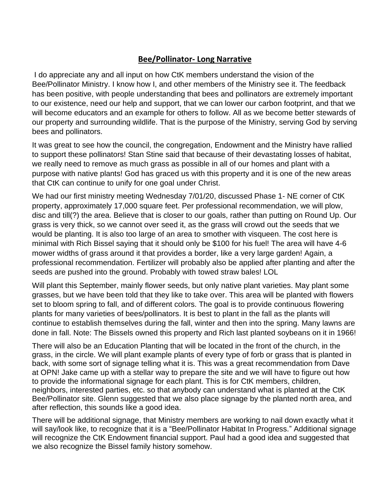## **Bee/Pollinator- Long Narrative**

I do appreciate any and all input on how CtK members understand the vision of the Bee/Pollinator Ministry. I know how I, and other members of the Ministry see it. The feedback has been positive, with people understanding that bees and pollinators are extremely important to our existence, need our help and support, that we can lower our carbon footprint, and that we will become educators and an example for others to follow. All as we become better stewards of our property and surrounding wildlife. That is the purpose of the Ministry, serving God by serving bees and pollinators.

It was great to see how the council, the congregation, Endowment and the Ministry have rallied to support these pollinators! Stan Stine said that because of their devastating losses of habitat, we really need to remove as much grass as possible in all of our homes and plant with a purpose with native plants! God has graced us with this property and it is one of the new areas that CtK can continue to unify for one goal under Christ.

We had our first ministry meeting Wednesday 7/01/20, discussed Phase 1- NE corner of CtK property, approximately 17,000 square feet. Per professional recommendation, we will plow, disc and till(?) the area. Believe that is closer to our goals, rather than putting on Round Up. Our grass is very thick, so we cannot over seed it, as the grass will crowd out the seeds that we would be planting. It is also too large of an area to smother with visqueen. The cost here is minimal with Rich Bissel saying that it should only be \$100 for his fuel! The area will have 4-6 mower widths of grass around it that provides a border, like a very large garden! Again, a professional recommendation. Fertilizer will probably also be applied after planting and after the seeds are pushed into the ground. Probably with towed straw bales! LOL

Will plant this September, mainly flower seeds, but only native plant varieties. May plant some grasses, but we have been told that they like to take over. This area will be planted with flowers set to bloom spring to fall, and of different colors. The goal is to provide continuous flowering plants for many varieties of bees/pollinators. It is best to plant in the fall as the plants will continue to establish themselves during the fall, winter and then into the spring. Many lawns are done in fall. Note: The Bissels owned this property and Rich last planted soybeans on it in 1966!

There will also be an Education Planting that will be located in the front of the church, in the grass, in the circle. We will plant example plants of every type of forb or grass that is planted in back, with some sort of signage telling what it is. This was a great recommendation from Dave at OPN! Jake came up with a stellar way to prepare the site and we will have to figure out how to provide the informational signage for each plant. This is for CtK members, children, neighbors, interested parties, etc. so that anybody can understand what is planted at the CtK Bee/Pollinator site. Glenn suggested that we also place signage by the planted north area, and after reflection, this sounds like a good idea.

There will be additional signage, that Ministry members are working to nail down exactly what it will say/look like, to recognize that it is a "Bee/Pollinator Habitat In Progress." Additional signage will recognize the CtK Endowment financial support. Paul had a good idea and suggested that we also recognize the Bissel family history somehow.